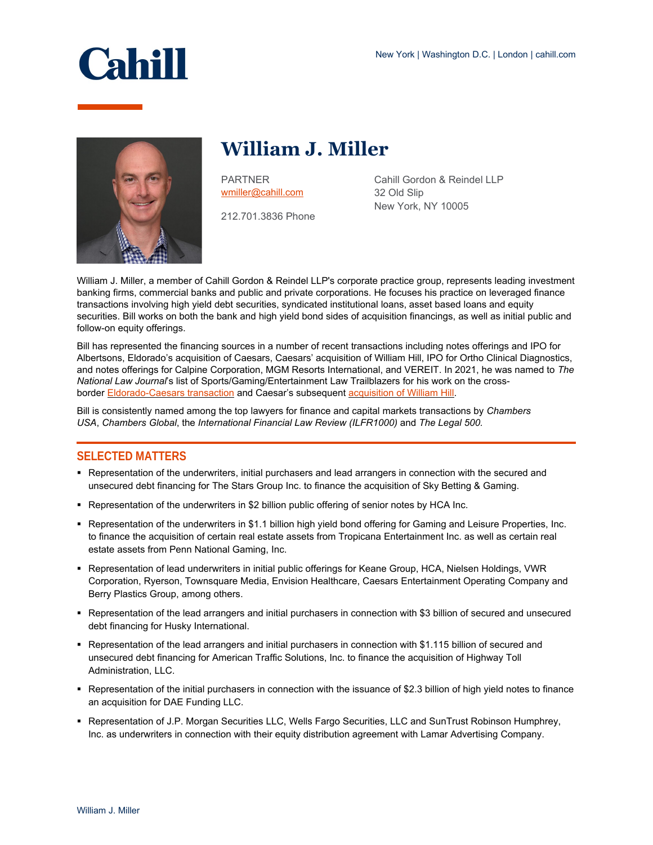

# **William J. Miller**

PARTNER [wmiller@cahill.com](mailto:wmiller@cahill.com)

212.701.3836 Phone

Cahill Gordon & Reindel LLP 32 Old Slip New York, NY 10005

William J. Miller, a member of Cahill Gordon & Reindel LLP's corporate practice group, represents leading investment banking firms, commercial banks and public and private corporations. He focuses his practice on leveraged finance transactions involving high yield debt securities, syndicated institutional loans, asset based loans and equity securities. Bill works on both the bank and high yield bond sides of acquisition financings, as well as initial public and follow-on equity offerings.

Bill has represented the financing sources in a number of recent transactions including notes offerings and IPO for Albertsons, Eldorado's acquisition of Caesars, Caesars' acquisition of William Hill, IPO for Ortho Clinical Diagnostics, and notes offerings for Calpine Corporation, MGM Resorts International, and VEREIT. In 2021, he was named to *The National Law Journal*'s list of Sports/Gaming/Entertainment Law Trailblazers for his work on the cross-border [Eldorado-Caesars transaction](https://www.cahill.com/news/firm-news/2020-07-06-cahill-represents-initial-purchasers-in-62-billion-notes-offerings-for-eldorado-resorts-inc) and Caesar's subsequent [acquisition of William Hill.](https://www.cahill.com/news/firm-news/2020-10-06-cahill-represents-arrangers-in-credit-facilities-to-support-caesars-entertainment-acquisition-of-william-hill)

Bill is consistently named among the top lawyers for finance and capital markets transactions by *Chambers USA*, *Chambers Global*, the *International Financial Law Review (ILFR1000)* and *The Legal 500.*

### **SELECTED MATTERS**

- Representation of the underwriters, initial purchasers and lead arrangers in connection with the secured and unsecured debt financing for The Stars Group Inc. to finance the acquisition of Sky Betting & Gaming.
- Representation of the underwriters in \$2 billion public offering of senior notes by HCA Inc.
- Representation of the underwriters in \$1.1 billion high yield bond offering for Gaming and Leisure Properties, Inc. to finance the acquisition of certain real estate assets from Tropicana Entertainment Inc. as well as certain real estate assets from Penn National Gaming, Inc.
- Representation of lead underwriters in initial public offerings for Keane Group, HCA, Nielsen Holdings, VWR Corporation, Ryerson, Townsquare Media, Envision Healthcare, Caesars Entertainment Operating Company and Berry Plastics Group, among others.
- Representation of the lead arrangers and initial purchasers in connection with \$3 billion of secured and unsecured debt financing for Husky International.
- Representation of the lead arrangers and initial purchasers in connection with \$1.115 billion of secured and unsecured debt financing for American Traffic Solutions, Inc. to finance the acquisition of Highway Toll Administration, LLC.
- Representation of the initial purchasers in connection with the issuance of \$2.3 billion of high yield notes to finance an acquisition for DAE Funding LLC.
- Representation of J.P. Morgan Securities LLC, Wells Fargo Securities, LLC and SunTrust Robinson Humphrey, Inc. as underwriters in connection with their equity distribution agreement with Lamar Advertising Company.